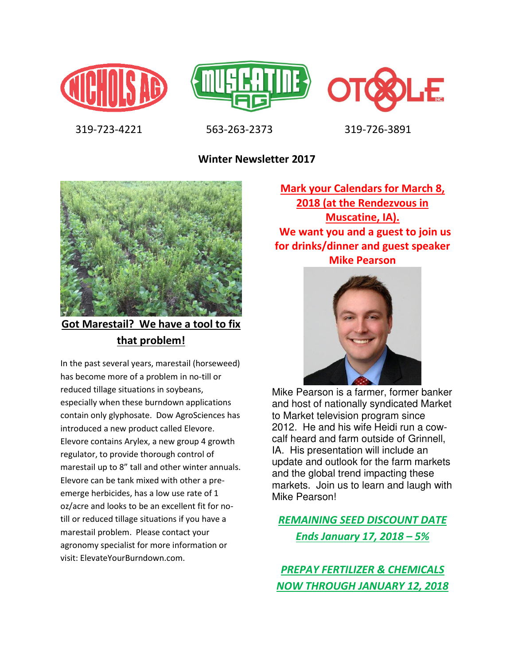





319-723-4221 563-263-2373 319-726-3891

**Winter Newsletter 2017**



**Got Marestail? We have a tool to fix that problem!** 

In the past several years, marestail (horseweed) has become more of a problem in no-till or reduced tillage situations in soybeans, especially when these burndown applications contain only glyphosate. Dow AgroSciences has introduced a new product called Elevore. Elevore contains Arylex, a new group 4 growth regulator, to provide thorough control of marestail up to 8" tall and other winter annuals. Elevore can be tank mixed with other a preemerge herbicides, has a low use rate of 1 oz/acre and looks to be an excellent fit for notill or reduced tillage situations if you have a marestail problem. Please contact your agronomy specialist for more information or visit: ElevateYourBurndown.com.

**Mark your Calendars for March 8, 2018 (at the Rendezvous in Muscatine, IA). We want you and a guest to join us for drinks/dinner and guest speaker Mike Pearson** 



Mike Pearson is a farmer, former banker and host of nationally syndicated Market to Market television program since 2012. He and his wife Heidi run a cowcalf heard and farm outside of Grinnell, IA. His presentation will include an update and outlook for the farm markets and the global trend impacting these markets. Join us to learn and laugh with Mike Pearson!

*REMAINING SEED DISCOUNT DATE Ends January 17, 2018 – 5%*

*PREPAY FERTILIZER & CHEMICALS NOW THROUGH JANUARY 12, 2018*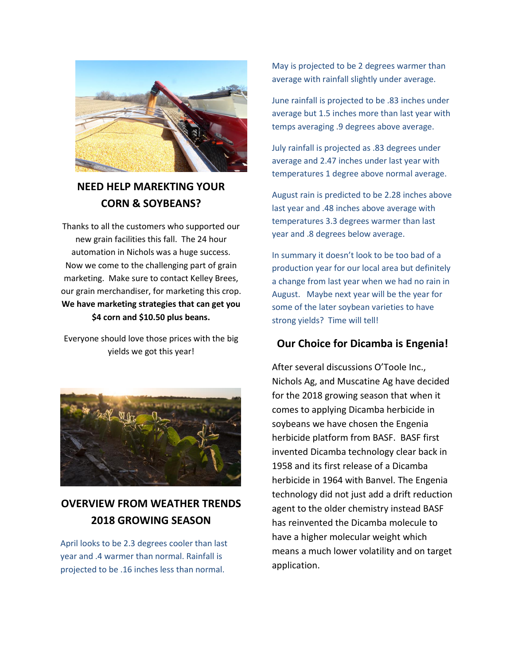

#### **NEED HELP MAREKTING YOUR CORN & SOYBEANS?**

Thanks to all the customers who supported our new grain facilities this fall. The 24 hour automation in Nichols was a huge success. Now we come to the challenging part of grain marketing. Make sure to contact Kelley Brees, our grain merchandiser, for marketing this crop. **We have marketing strategies that can get you \$4 corn and \$10.50 plus beans.** 

Everyone should love those prices with the big yields we got this year!



### **OVERVIEW FROM WEATHER TRENDS 2018 GROWING SEASON**

April looks to be 2.3 degrees cooler than last year and .4 warmer than normal. Rainfall is projected to be .16 inches less than normal.

May is projected to be 2 degrees warmer than average with rainfall slightly under average.

June rainfall is projected to be .83 inches under average but 1.5 inches more than last year with temps averaging .9 degrees above average.

July rainfall is projected as .83 degrees under average and 2.47 inches under last year with temperatures 1 degree above normal average.

August rain is predicted to be 2.28 inches above last year and .48 inches above average with temperatures 3.3 degrees warmer than last year and .8 degrees below average.

In summary it doesn't look to be too bad of a production year for our local area but definitely a change from last year when we had no rain in August. Maybe next year will be the year for some of the later soybean varieties to have strong yields? Time will tell!

#### **Our Choice for Dicamba is Engenia!**

After several discussions O'Toole Inc., Nichols Ag, and Muscatine Ag have decided for the 2018 growing season that when it comes to applying Dicamba herbicide in soybeans we have chosen the Engenia herbicide platform from BASF. BASF first invented Dicamba technology clear back in 1958 and its first release of a Dicamba herbicide in 1964 with Banvel. The Engenia technology did not just add a drift reduction agent to the older chemistry instead BASF has reinvented the Dicamba molecule to have a higher molecular weight which means a much lower volatility and on target application.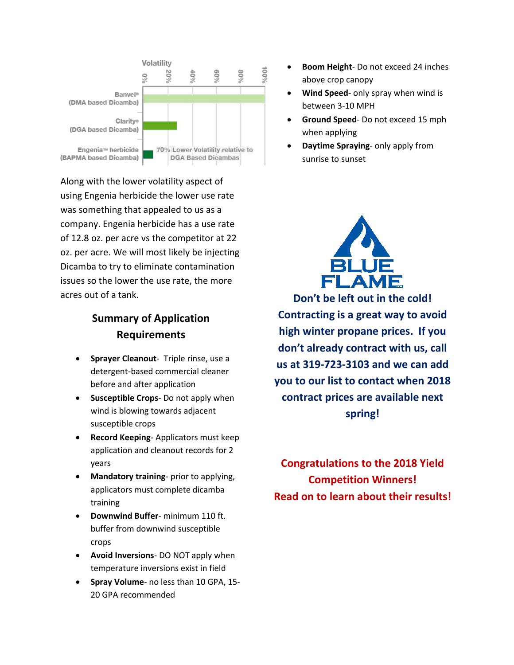

Along with the lower volatility aspect of using Engenia herbicide the lower use rate was something that appealed to us as a company. Engenia herbicide has a use rate of 12.8 oz. per acre vs the competitor at 22 oz. per acre. We will most likely be injecting Dicamba to try to eliminate contamination issues so the lower the use rate, the more acres out of a tank.

#### **Summary of Application Requirements**

- **Sprayer Cleanout** Triple rinse, use a detergent-based commercial cleaner before and after application
- **•** Susceptible Crops- Do not apply when wind is blowing towards adjacent susceptible crops
- **Record Keeping** Applicators must keep application and cleanout records for 2 years
- **Mandatory training** prior to applying, applicators must complete dicamba training
- **Downwind Buffer** minimum 110 ft. buffer from downwind susceptible crops
- **Avoid Inversions** DO NOT apply when temperature inversions exist in field
- **Spray Volume** no less than 10 GPA, 15- 20 GPA recommended
- **•** Boom Height-Do not exceed 24 inches above crop canopy
- **Wind Speed** only spray when wind is between 3-10 MPH
- **Ground Speed** Do not exceed 15 mph when applying
- **Daytime Spraying** only apply from sunrise to sunset



**Don't be left out in the cold! Contracting is a great way to avoid high winter propane prices. If you don't already contract with us, call us at 319-723-3103 and we can add you to our list to contact when 2018 contract prices are available next spring!** 

**Congratulations to the 2018 Yield Competition Winners! Read on to learn about their results!**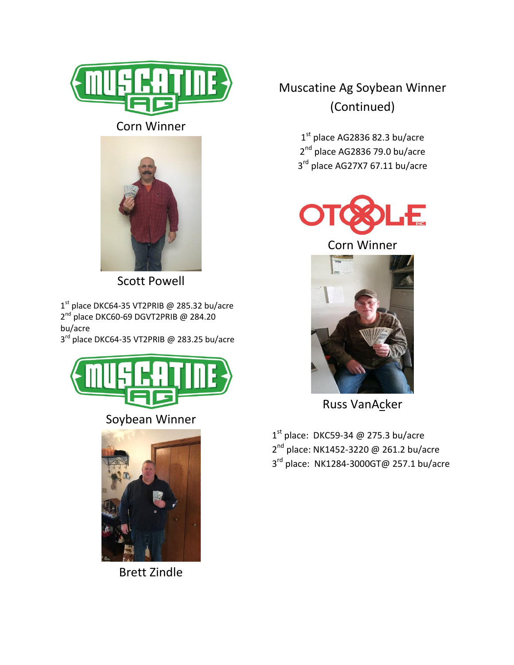

Corn Winner



Scott Powell

1<sup>st</sup> place DKC64-35 VT2PRIB @ 285.32 bu/acre 2<sup>nd</sup> place DKC60-69 DGVT2PRIB @ 284.20 bu/acre

3<sup>rd</sup> place DKC64-35 VT2PRIB @ 283.25 bu/acre



### Soybean Winner



Brett Zindle

# Muscatine Ag Soybean Winner (Continued)

 $1<sup>st</sup>$  place AG2836 82.3 bu/acre 2<sup>nd</sup> place AG2836 79.0 bu/acre 3<sup>rd</sup> place AG27X7 67.11 bu/acre



Corn Winner



Russ VanAcker

 $1<sup>st</sup>$  place: DKC59-34 @ 275.3 bu/acre 2<sup>nd</sup> place: NK1452-3220 @ 261.2 bu/acre 3<sup>rd</sup> place: NK1284-3000GT@ 257.1 bu/acre